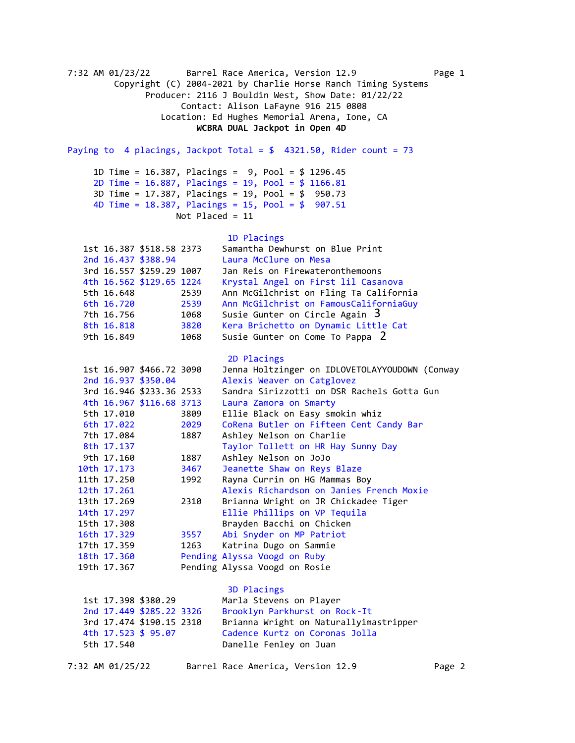7:32 AM 01/23/22 Barrel Race America, Version 12.9 Page 1 Copyright (C) 2004-2021 by Charlie Horse Ranch Timing Systems Producer: 2116 J Bouldin West, Show Date: 01/22/22 Contact: Alison LaFayne 916 215 0808 Location: Ed Hughes Memorial Arena, Ione, CA  **WCBRA DUAL Jackpot in Open 4D**  Paying to 4 placings, Jackpot Total =  $$$  4321.50, Rider count = 73 1D Time = 16.387, Placings = 9, Pool = \$ 1296.45 2D Time = 16.887, Placings = 19, Pool = \$ 1166.81 3D Time = 17.387, Placings = 19, Pool = \$ 950.73 4D Time = 18.387, Placings = 15, Pool = \$ 907.51 Not Placed = 11 1D Placings 1st 16.387 \$518.58 2373 Samantha Dewhurst on Blue Print 2nd 16.437 \$388.94 Laura McClure on Mesa 3rd 16.557 \$259.29 1007 Jan Reis on Firewateronthemoons 4th 16.562 \$129.65 1224 Krystal Angel on First lil Casanova 5th 16.648 2539 Ann McGilchrist on Fling Ta California 6th 16.720 2539 Ann McGilchrist on FamousCaliforniaGuy 7th 16.756 1068 Susie Gunter on Circle Again 3 8th 16.818 3820 Kera Brichetto on Dynamic Little Cat 9th 16.849 1068 Susie Gunter on Come To Pappa 2 2D Placings 1st 16.907 \$466.72 3090 Jenna Holtzinger on IDLOVETOLAYYOUDOWN (Conway 2nd 16.937 \$350.04 Alexis Weaver on Catglovez 3rd 16.946 \$233.36 2533 Sandra Sirizzotti on DSR Rachels Gotta Gun 4th 16.967 \$116.68 3713 Laura Zamora on Smarty 5th 17.010 3809 Ellie Black on Easy smokin whiz 6th 17.022 2029 CoRena Butler on Fifteen Cent Candy Bar 7th 17.084 1887 Ashley Nelson on Charlie 8th 17.137 Taylor Tollett on HR Hay Sunny Day 9th 17.160 1887 Ashley Nelson on JoJo 10th 17.173 3467 Jeanette Shaw on Reys Blaze 11th 17.250 1992 Rayna Currin on HG Mammas Boy 12th 17.261 Alexis Richardson on Janies French Moxie 13th 17.269 2310 Brianna Wright on JR Chickadee Tiger 14th 17.297 Ellie Phillips on VP Tequila 15th 17.308 Brayden Bacchi on Chicken 16th 17.329 3557 Abi Snyder on MP Patriot 17th 17.359 1263 Katrina Dugo on Sammie 18th 17.360 Pending Alyssa Voogd on Ruby 19th 17.367 Pending Alyssa Voogd on Rosie 3D Placings 1st 17.398 \$380.29 Marla Stevens on Player 2nd 17.449 \$285.22 3326 Brooklyn Parkhurst on Rock-It 3rd 17.474 \$190.15 2310 Brianna Wright on Naturallyimastripper 4th 17.523 \$ 95.07 Cadence Kurtz on Coronas Jolla Danelle Fenley on Juan 7:32 AM 01/25/22 Barrel Race America, Version 12.9 Page 2